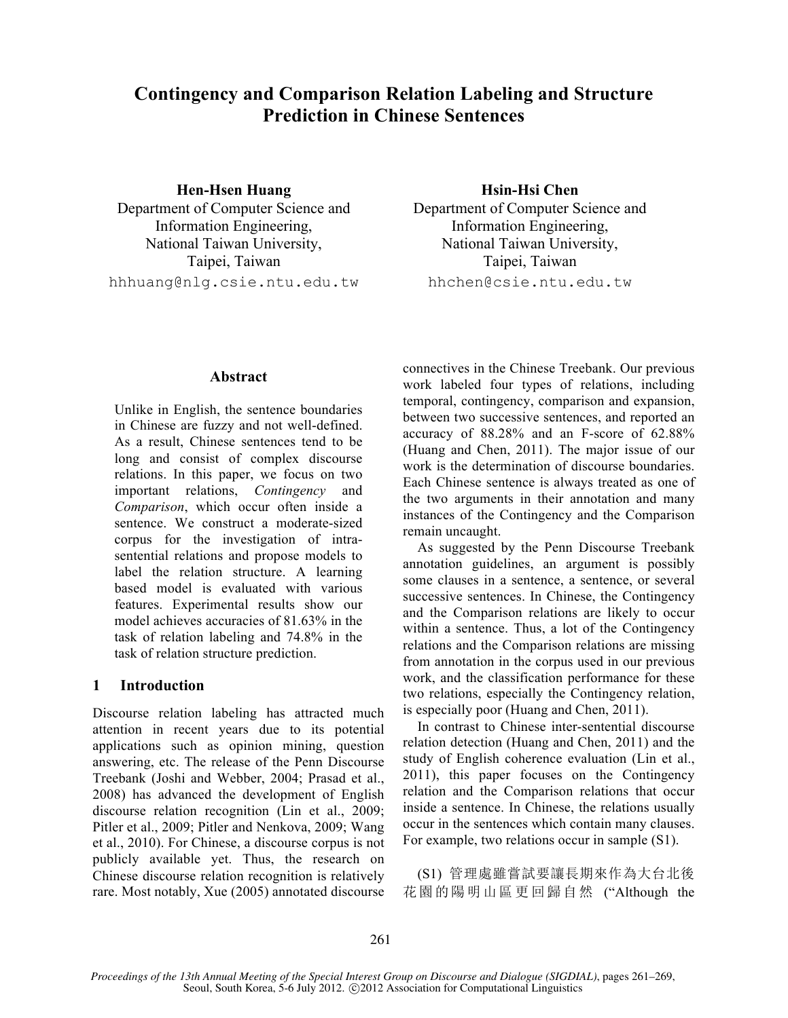# **Contingency and Comparison Relation Labeling and Structure Prediction in Chinese Sentences**

**Hen-Hsen Huang Hsin-Hsi Chen** Department of Computer Science and Department of Computer Science and Information Engineering, Information Engineering, National Taiwan University, Taipei, Taiwan hhhuang@nlg.csie.ntu.edu.tw hhchen@csie.ntu.edu.tw

National Taiwan University, Taipei, Taiwan

## **Abstract**

Unlike in English, the sentence boundaries in Chinese are fuzzy and not well-defined. As a result, Chinese sentences tend to be long and consist of complex discourse relations. In this paper, we focus on two important relations, *Contingency* and *Comparison*, which occur often inside a sentence. We construct a moderate-sized corpus for the investigation of intrasentential relations and propose models to label the relation structure. A learning based model is evaluated with various features. Experimental results show our model achieves accuracies of 81.63% in the task of relation labeling and 74.8% in the task of relation structure prediction.

## **1 Introduction**

Discourse relation labeling has attracted much attention in recent years due to its potential applications such as opinion mining, question answering, etc. The release of the Penn Discourse Treebank (Joshi and Webber, 2004; Prasad et al., 2008) has advanced the development of English discourse relation recognition (Lin et al., 2009; Pitler et al., 2009; Pitler and Nenkova, 2009; Wang et al., 2010). For Chinese, a discourse corpus is not publicly available yet. Thus, the research on Chinese discourse relation recognition is relatively rare. Most notably, Xue (2005) annotated discourse connectives in the Chinese Treebank. Our previous work labeled four types of relations, including temporal, contingency, comparison and expansion, between two successive sentences, and reported an accuracy of 88.28% and an F-score of 62.88% (Huang and Chen, 2011). The major issue of our work is the determination of discourse boundaries. Each Chinese sentence is always treated as one of the two arguments in their annotation and many instances of the Contingency and the Comparison remain uncaught.

As suggested by the Penn Discourse Treebank annotation guidelines, an argument is possibly some clauses in a sentence, a sentence, or several successive sentences. In Chinese, the Contingency and the Comparison relations are likely to occur within a sentence. Thus, a lot of the Contingency relations and the Comparison relations are missing from annotation in the corpus used in our previous work, and the classification performance for these two relations, especially the Contingency relation, is especially poor (Huang and Chen, 2011).

In contrast to Chinese inter-sentential discourse relation detection (Huang and Chen, 2011) and the study of English coherence evaluation (Lin et al., 2011), this paper focuses on the Contingency relation and the Comparison relations that occur inside a sentence. In Chinese, the relations usually occur in the sentences which contain many clauses. For example, two relations occur in sample (S1).

(S1) 管理處雖嘗試要讓長期來作為大台北後 花園的陽明山區更回歸自然 ("Although the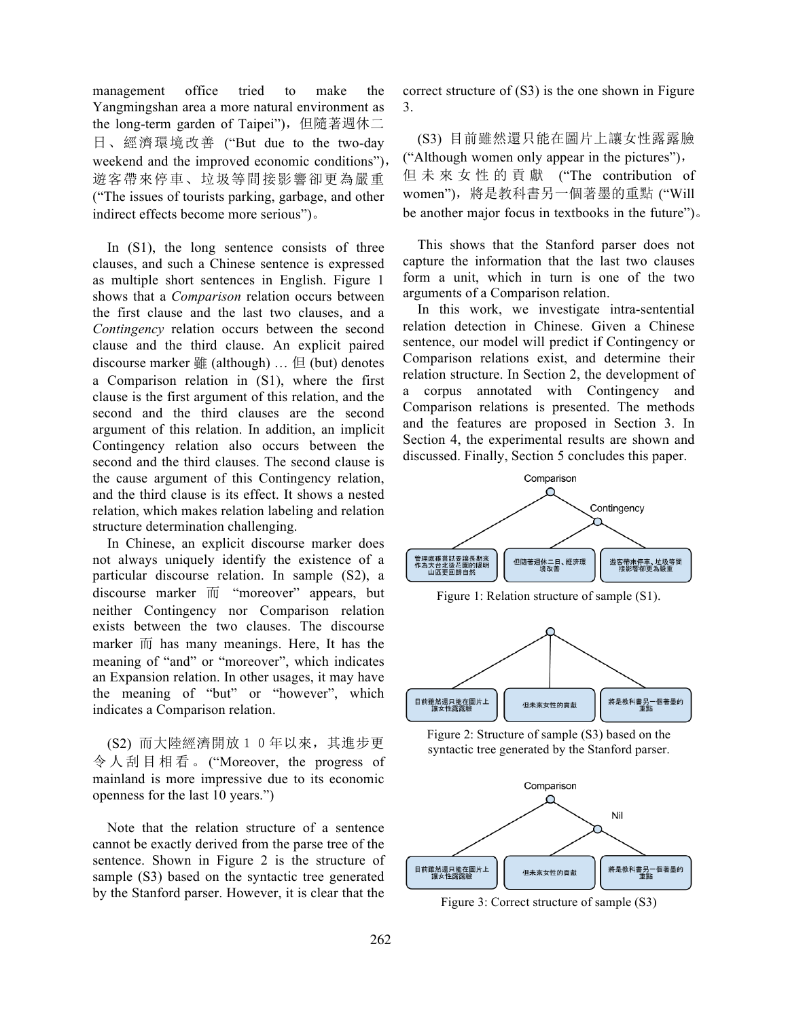management office tried to make the Yangmingshan area a more natural environment as the long-term garden of Taipei"), 但隨著週休二 日、經濟環境改善 ("But due to the two-day weekend and the improved economic conditions"), 遊客帶來停車、垃圾等間接影響卻更為嚴重 ("The issues of tourists parking, garbage, and other indirect effects become more serious")。

In (S1), the long sentence consists of three clauses, and such a Chinese sentence is expressed as multiple short sentences in English. Figure 1 shows that a *Comparison* relation occurs between the first clause and the last two clauses, and a *Contingency* relation occurs between the second clause and the third clause. An explicit paired discourse marker 雖 (although) … 但 (but) denotes a Comparison relation in (S1), where the first clause is the first argument of this relation, and the second and the third clauses are the second argument of this relation. In addition, an implicit Contingency relation also occurs between the second and the third clauses. The second clause is the cause argument of this Contingency relation, and the third clause is its effect. It shows a nested relation, which makes relation labeling and relation structure determination challenging.

In Chinese, an explicit discourse marker does not always uniquely identify the existence of a particular discourse relation. In sample (S2), a discourse marker 而 "moreover" appears, but neither Contingency nor Comparison relation exists between the two clauses. The discourse marker  $\overline{m}$  has many meanings. Here, It has the meaning of "and" or "moreover", which indicates an Expansion relation. In other usages, it may have the meaning of "but" or "however", which indicates a Comparison relation.

(S2) 而大陸經濟開放10年以來,其進步更 令人刮目相看。 ("Moreover, the progress of mainland is more impressive due to its economic openness for the last 10 years.")

Note that the relation structure of a sentence cannot be exactly derived from the parse tree of the sentence. Shown in Figure 2 is the structure of sample (S3) based on the syntactic tree generated by the Stanford parser. However, it is clear that the correct structure of (S3) is the one shown in Figure 3.

(S3) 目前雖然還只能在圖片上讓女性露露臉 ("Although women only appear in the pictures"), 但未來女性的貢獻 ("The contribution of women"),將是教科書另一個著墨的重點 ("Will be another major focus in textbooks in the future")。

This shows that the Stanford parser does not capture the information that the last two clauses form a unit, which in turn is one of the two arguments of a Comparison relation.

In this work, we investigate intra-sentential relation detection in Chinese. Given a Chinese sentence, our model will predict if Contingency or Comparison relations exist, and determine their relation structure. In Section 2, the development of a corpus annotated with Contingency and Comparison relations is presented. The methods and the features are proposed in Section 3. In Section 4, the experimental results are shown and discussed. Finally, Section 5 concludes this paper.



Figure 1: Relation structure of sample (S1).



Figure 2: Structure of sample (S3) based on the syntactic tree generated by the Stanford parser.



Figure 3: Correct structure of sample (S3)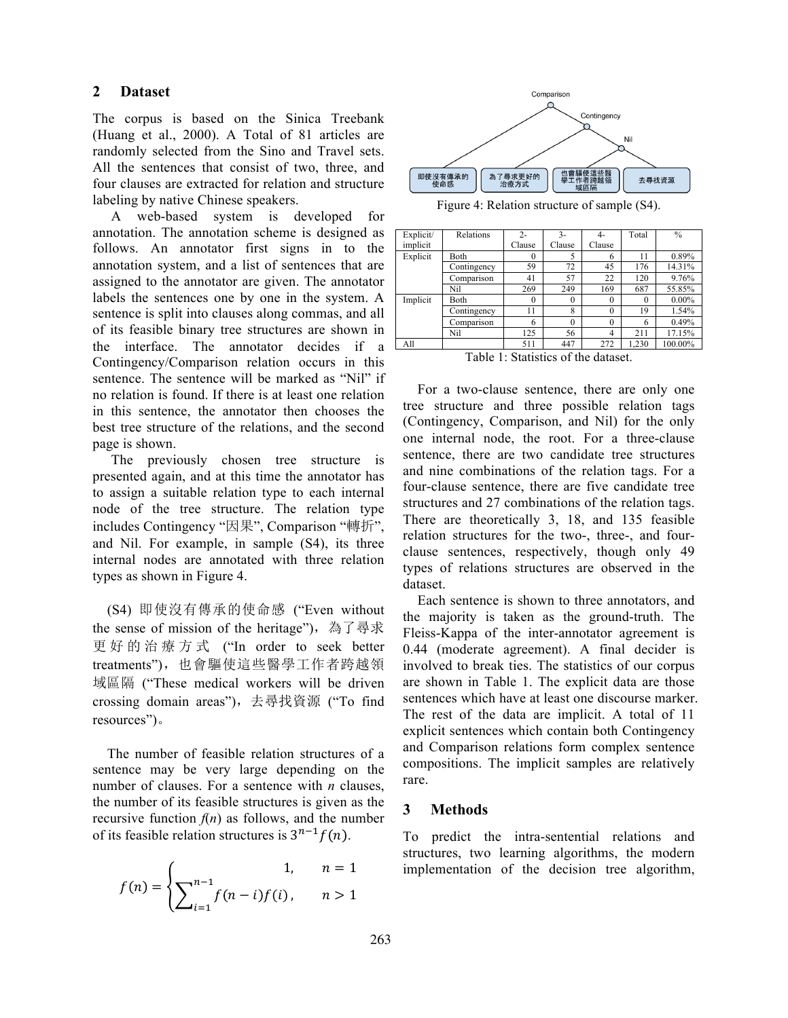# **2 Dataset**

The corpus is based on the Sinica Treebank (Huang et al., 2000). A Total of 81 articles are randomly selected from the Sino and Travel sets. All the sentences that consist of two, three, and four clauses are extracted for relation and structure labeling by native Chinese speakers.

A web-based system is developed for annotation. The annotation scheme is designed as follows. An annotator first signs in to the annotation system, and a list of sentences that are assigned to the annotator are given. The annotator labels the sentences one by one in the system. A sentence is split into clauses along commas, and all of its feasible binary tree structures are shown in the interface. The annotator decides if a Contingency/Comparison relation occurs in this sentence. The sentence will be marked as "Nil" if no relation is found. If there is at least one relation in this sentence, the annotator then chooses the best tree structure of the relations, and the second page is shown.

The previously chosen tree structure is presented again, and at this time the annotator has to assign a suitable relation type to each internal node of the tree structure. The relation type includes Contingency "因果", Comparison "轉折", and Nil. For example, in sample (S4), its three internal nodes are annotated with three relation types as shown in Figure 4.

(S4) 即使沒有傳承的使命感 ("Even without the sense of mission of the heritage"), 為了尋求 更好的治療方式 ("In order to seek better treatments"),也會驅使這些醫學工作者跨越領 域區隔 ("These medical workers will be driven crossing domain areas"),去尋找資源 ("To find resources")。

The number of feasible relation structures of a sentence may be very large depending on the number of clauses. For a sentence with *n* clauses, the number of its feasible structures is given as the recursive function  $f(n)$  as follows, and the number of its feasible relation structures is  $3^{n-1}f(n)$ .

$$
f(n) = \begin{cases} 1, & n = 1\\ \sum_{i=1}^{n-1} f(n-i)f(i), & n > 1 \end{cases}
$$



Figure 4: Relation structure of sample (S4).

| Explicit/ | Relations   | $2 -$    | $3 -$    | 4-       | Total    | $\frac{0}{0}$ |
|-----------|-------------|----------|----------|----------|----------|---------------|
| implicit  |             | Clause   | Clause   | Clause   |          |               |
| Explicit  | Both        | $\theta$ |          | 6        | 11       | 0.89%         |
|           | Contingency | 59       | 72       | 45       | 176      | 14.31%        |
|           | Comparison  | 41       | 57       | 22       | 120      | 9.76%         |
|           | Nil         | 269      | 249      | 169      | 687      | 55.85%        |
| Implicit  | Both        | $\theta$ | 0        | $\theta$ | $\theta$ | $0.00\%$      |
|           | Contingency | 11       | 8        | $\theta$ | 19       | 1.54%         |
|           | Comparison  | 6        | $\Omega$ | $\theta$ | 6        | 0.49%         |
|           | Nil         | 125      | 56       | 4        | 211      | 17.15%        |
| All       |             | 511      | 447      | 272      | 1,230    | 100.00%       |

Table 1: Statistics of the dataset.

For a two-clause sentence, there are only one tree structure and three possible relation tags (Contingency, Comparison, and Nil) for the only one internal node, the root. For a three-clause sentence, there are two candidate tree structures and nine combinations of the relation tags. For a four-clause sentence, there are five candidate tree structures and 27 combinations of the relation tags. There are theoretically 3, 18, and 135 feasible relation structures for the two-, three-, and fourclause sentences, respectively, though only 49 types of relations structures are observed in the dataset.

Each sentence is shown to three annotators, and the majority is taken as the ground-truth. The Fleiss-Kappa of the inter-annotator agreement is 0.44 (moderate agreement). A final decider is involved to break ties. The statistics of our corpus are shown in Table 1. The explicit data are those sentences which have at least one discourse marker. The rest of the data are implicit. A total of 11 explicit sentences which contain both Contingency and Comparison relations form complex sentence compositions. The implicit samples are relatively rare.

# **3 Methods**

To predict the intra-sentential relations and structures, two learning algorithms, the modern implementation of the decision tree algorithm,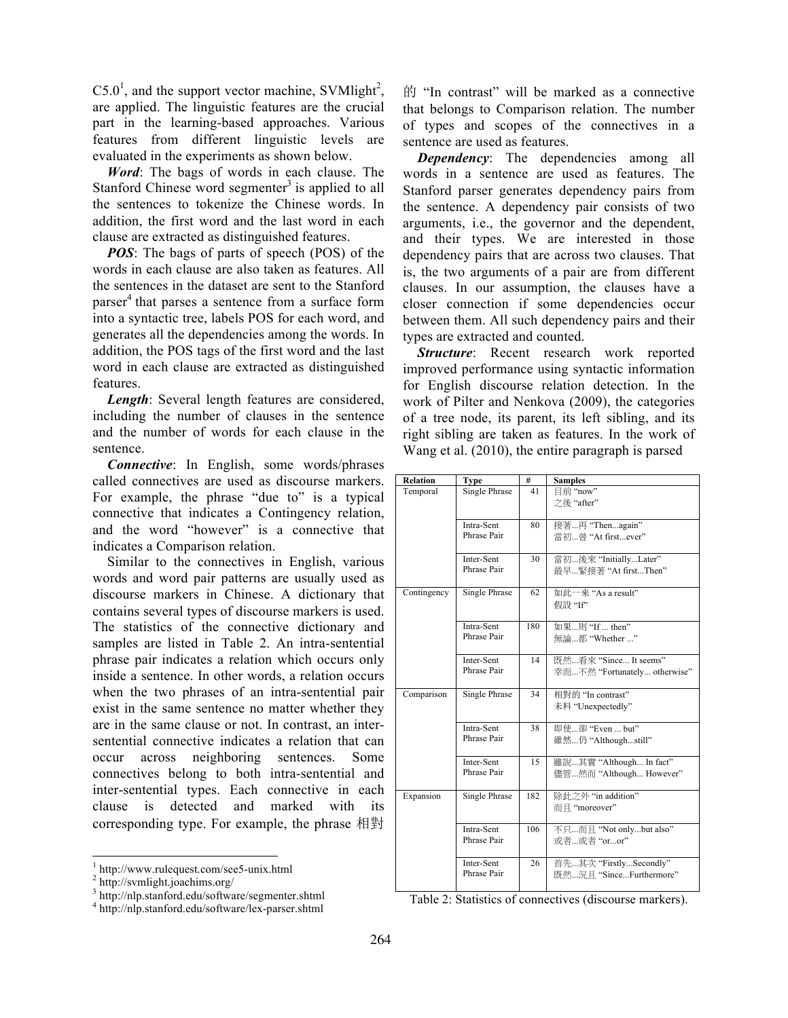$C5.0<sup>1</sup>$ , and the support vector machine, SVMlight<sup>2</sup>, are applied. The linguistic features are the crucial part in the learning-based approaches. Various features from different linguistic levels are evaluated in the experiments as shown below.

*Word*: The bags of words in each clause. The Stanford Chinese word segmenter<sup>3</sup> is applied to all the sentences to tokenize the Chinese words. In addition, the first word and the last word in each clause are extracted as distinguished features.

*POS*: The bags of parts of speech (POS) of the words in each clause are also taken as features. All the sentences in the dataset are sent to the Stanford parser <sup>4</sup> that parses a sentence from a surface form into a syntactic tree, labels POS for each word, and generates all the dependencies among the words. In addition, the POS tags of the first word and the last word in each clause are extracted as distinguished features.

*Length*: Several length features are considered, including the number of clauses in the sentence and the number of words for each clause in the sentence.

*Connective*: In English, some words/phrases called connectives are used as discourse markers. For example, the phrase "due to" is a typical connective that indicates a Contingency relation, and the word "however" is a connective that indicates a Comparison relation.

Similar to the connectives in English, various words and word pair patterns are usually used as discourse markers in Chinese. A dictionary that contains several types of discourse markers is used. The statistics of the connective dictionary and samples are listed in Table 2. An intra-sentential phrase pair indicates a relation which occurs only inside a sentence. In other words, a relation occurs when the two phrases of an intra-sentential pair exist in the same sentence no matter whether they are in the same clause or not. In contrast, an intersentential connective indicates a relation that can occur across neighboring sentences. Some connectives belong to both intra-sentential and inter-sentential types. Each connective in each clause is detected and marked with its corresponding type. For example, the phrase 相對

的 "In contrast" will be marked as a connective that belongs to Comparison relation. The number of types and scopes of the connectives in a sentence are used as features.

*Dependency*: The dependencies among all words in a sentence are used as features. The Stanford parser generates dependency pairs from the sentence. A dependency pair consists of two arguments, i.e., the governor and the dependent, and their types. We are interested in those dependency pairs that are across two clauses. That is, the two arguments of a pair are from different clauses. In our assumption, the clauses have a closer connection if some dependencies occur between them. All such dependency pairs and their types are extracted and counted.

*Structure*: Recent research work reported improved performance using syntactic information for English discourse relation detection. In the work of Pilter and Nenkova (2009), the categories of a tree node, its parent, its left sibling, and its right sibling are taken as features. In the work of Wang et al. (2010), the entire paragraph is parsed

| <b>Relation</b> | Type                      | #   | <b>Samples</b>               |
|-----------------|---------------------------|-----|------------------------------|
| Temporal        | <b>Single Phrase</b>      | 41  | 目前"now"                      |
|                 |                           |     | 之後 "after"                   |
|                 | Intra-Sent                | 80  | 接著再 "Thenagain"              |
|                 | Phrase Pair               |     | 當初曾 "At firstever"           |
|                 | Inter-Sent                | 30  | 當初後來 "InitiallyLater"        |
|                 | Phrase Pair               |     | 最早緊接著 "At firstThen"         |
| Contingency     | Single Phrase             | 62  | 如此一來 "As a result"           |
|                 |                           |     | 假設 "If"                      |
|                 | Intra-Sent<br>Phrase Pair | 180 | 如果則 "If  then"               |
|                 |                           |     | 無論都 "Whether "               |
|                 | Inter-Sent                | 14  | 既然看來 "Since It seems"        |
|                 | Phrase Pair               |     | 幸而不然 "Fortunately otherwise" |
| Comparison      | <b>Single Phrase</b>      | 34  | 相對的 "In contrast"            |
|                 |                           |     | 未料 "Unexpectedly"            |
|                 | Intra-Sent                | 38  | 即使卻 "Even  but"              |
|                 | Phrase Pair               |     | 雖然仍 "Althoughstill"          |
|                 | Inter-Sent                | 15  | 雖說其實 "Although In fact"      |
|                 | Phrase Pair               |     | 儘管然而"Although However"       |
| Expansion       | Single Phrase             | 182 | 除此之外"in addition"            |
|                 |                           |     | 而目 "moreover"                |
|                 | Intra-Sent                | 106 | 不只而且 "Not onlybut also"      |
|                 | Phrase Pair               |     | 或者或者 "oror"                  |
|                 | Inter-Sent                | 26  | 首先…其次 "Firstly…Secondly"     |
|                 | Phrase Pair               |     | 既然況且 "SinceFurthermore"      |

Table 2: Statistics of connectives (discourse markers).

 $\frac{1}{2}$  http://www.rulequest.com/see5-unix.html  $\frac{2}{2}$  http://svmlight.joachims.org/

<sup>3</sup> http://nlp.stanford.edu/software/segmenter.shtml

<sup>4</sup> http://nlp.stanford.edu/software/lex-parser.shtml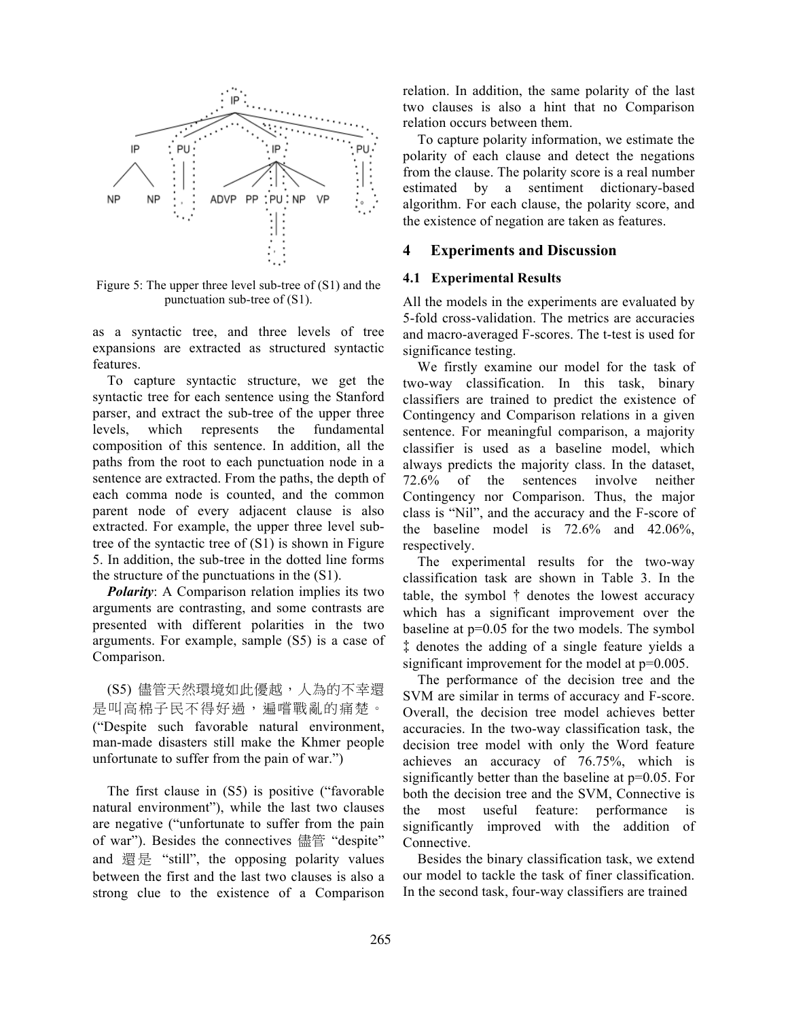

Figure 5: The upper three level sub-tree of  $(S1)$  and the punctuation sub-tree of (S1).

as a syntactic tree, and three levels of tree expansions are extracted as structured syntactic features.

To capture syntactic structure, we get the syntactic tree for each sentence using the Stanford parser, and extract the sub-tree of the upper three levels, which represents the fundamental composition of this sentence. In addition, all the paths from the root to each punctuation node in a sentence are extracted. From the paths, the depth of each comma node is counted, and the common parent node of every adjacent clause is also extracted. For example, the upper three level subtree of the syntactic tree of (S1) is shown in Figure 5. In addition, the sub-tree in the dotted line forms the structure of the punctuations in the (S1).

*Polarity*: A Comparison relation implies its two arguments are contrasting, and some contrasts are presented with different polarities in the two arguments. For example, sample (S5) is a case of Comparison.

(S5) 儘管天然環境如此優越,人為的不幸還 是叫高棉子民不得好過,遍嚐戰亂的痛楚。 ("Despite such favorable natural environment, man-made disasters still make the Khmer people unfortunate to suffer from the pain of war.")

The first clause in (S5) is positive ("favorable natural environment"), while the last two clauses are negative ("unfortunate to suffer from the pain of war"). Besides the connectives 儘管 "despite" and 還是 "still", the opposing polarity values between the first and the last two clauses is also a strong clue to the existence of a Comparison relation. In addition, the same polarity of the last two clauses is also a hint that no Comparison relation occurs between them.

To capture polarity information, we estimate the polarity of each clause and detect the negations from the clause. The polarity score is a real number estimated by a sentiment dictionary-based algorithm. For each clause, the polarity score, and the existence of negation are taken as features.

## **4 Experiments and Discussion**

#### **4.1 Experimental Results**

All the models in the experiments are evaluated by 5-fold cross-validation. The metrics are accuracies and macro-averaged F-scores. The t-test is used for significance testing.

We firstly examine our model for the task of two-way classification. In this task, binary classifiers are trained to predict the existence of Contingency and Comparison relations in a given sentence. For meaningful comparison, a majority classifier is used as a baseline model, which always predicts the majority class. In the dataset, 72.6% of the sentences involve neither Contingency nor Comparison. Thus, the major class is "Nil", and the accuracy and the F-score of the baseline model is 72.6% and 42.06%, respectively.

The experimental results for the two-way classification task are shown in Table 3. In the table, the symbol † denotes the lowest accuracy which has a significant improvement over the baseline at p=0.05 for the two models. The symbol ‡ denotes the adding of a single feature yields a significant improvement for the model at  $p=0.005$ .

The performance of the decision tree and the SVM are similar in terms of accuracy and F-score. Overall, the decision tree model achieves better accuracies. In the two-way classification task, the decision tree model with only the Word feature achieves an accuracy of 76.75%, which is significantly better than the baseline at p=0.05. For both the decision tree and the SVM, Connective is the most useful feature: performance is significantly improved with the addition of Connective.

Besides the binary classification task, we extend our model to tackle the task of finer classification. In the second task, four-way classifiers are trained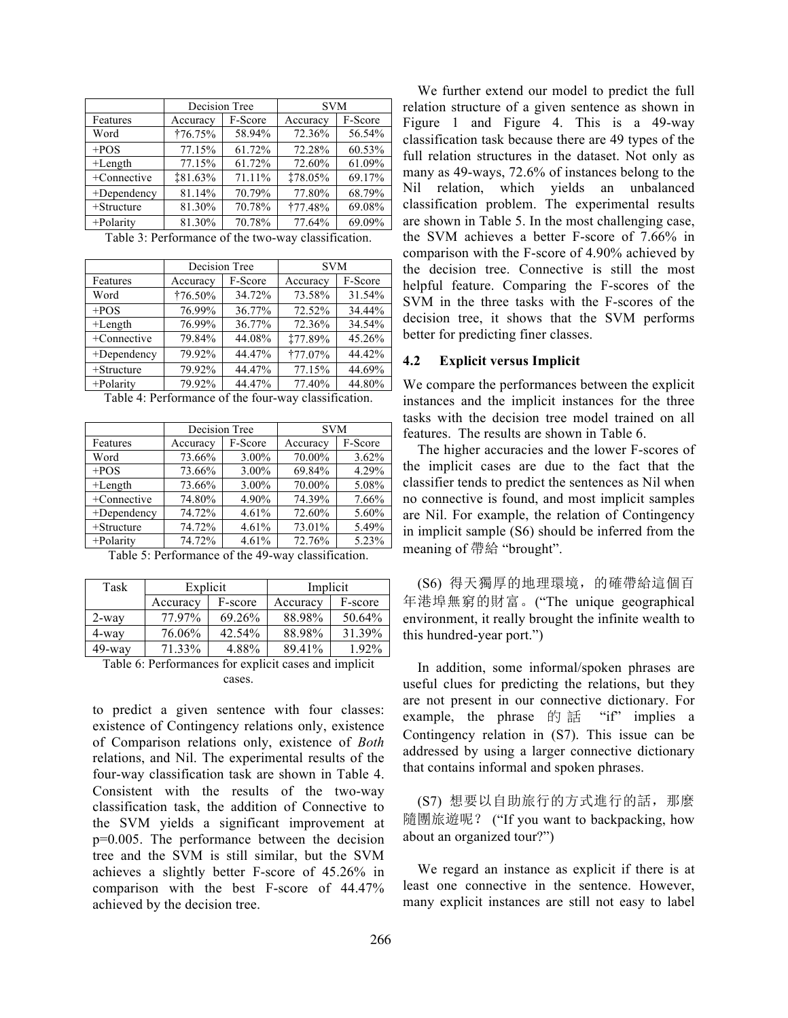|                | Decision Tree       |        | <b>SVM</b>     |         |  |
|----------------|---------------------|--------|----------------|---------|--|
| Features       | F-Score<br>Accuracy |        | Accuracy       | F-Score |  |
| Word           | †76.75%             | 58.94% | 72.36%         | 56.54%  |  |
| $+POS$         | 77.15%              | 61.72% | 72.28%         | 60.53%  |  |
| $+Length$      | 77.15%              | 61.72% | 72.60%         | 61.09%  |  |
| +Connective    | <b>‡81.63%</b>      | 71.11% | 178.05%        | 69.17%  |  |
| $+$ Dependency | 81.14%              | 70.79% | 77.80%         | 68.79%  |  |
| $+$ Structure  | 81.30%              | 70.78% | <b>†77.48%</b> | 69.08%  |  |
| $+$ Polarity   | 81.30%              | 70.78% | 77.64%         | 69.09%  |  |

Table 3: Performance of the two-way classification.

|                | Decision Tree    |         | <b>SVM</b>     |         |  |
|----------------|------------------|---------|----------------|---------|--|
| Features       | Accuracy         | F-Score | Accuracy       | F-Score |  |
| Word           | $\dagger$ 76.50% | 34.72%  | 73.58%         | 31.54%  |  |
| $+POS$         | 76.99%           | 36.77%  | 72.52%         | 34.44%  |  |
| $+Length$      | 76.99%           | 36.77%  | 72.36%         | 34.54%  |  |
| +Connective    | 79.84%           | 44.08%  | <b>‡77.89%</b> | 45.26%  |  |
| $+$ Dependency | 79.92%           | 44.47%  | <b>†77.07%</b> | 44.42%  |  |
| $+$ Structure  | 79.92%           | 44.47%  | 77.15%         | 44.69%  |  |
| +Polarity      | 79.92%           | 44.47%  | 77.40%         | 44.80%  |  |

Table 4: Performance of the four-way classification.

|                        | Decision Tree |          | <b>SVM</b> |         |  |
|------------------------|---------------|----------|------------|---------|--|
| Features               | Accuracy      | F-Score  | Accuracy   | F-Score |  |
| Word                   | 73.66%        | $3.00\%$ | 70.00%     | 3.62%   |  |
| $+POS$                 | 73.66%        | $3.00\%$ | 69.84%     | 4.29%   |  |
| $+Length$              | 73.66%        | $3.00\%$ | 70.00%     | 5.08%   |  |
| +Connective            | 74.80%        | 4.90%    | 74.39%     | 7.66%   |  |
| $+$ Dependency         | 74.72%        | 4.61%    | 72.60%     | 5.60%   |  |
| $+$ Structure          | 74.72%        | 4.61%    | 73.01%     | 5.49%   |  |
| 74.72%<br>$+$ Polarity |               | 4.61%    | 72.76%     | 5.23%   |  |

Table 5: Performance of the 49-way classification.

| Task      | Explicit            |           | Implicit |          |  |
|-----------|---------------------|-----------|----------|----------|--|
|           | F-score<br>Accuracy |           | Accuracy | F-score  |  |
| 2-way     | 77 97%              | $69.26\%$ | 88.98%   | 50.64%   |  |
| 4-way     | 76.06%              | $42.54\%$ | 88.98%   | 31.39%   |  |
| $49$ -way | 71 33%              | 4.88%     | 89.41%   | $1.92\%$ |  |

Table 6: Performances for explicit cases and implicit cases.

to predict a given sentence with four classes: existence of Contingency relations only, existence of Comparison relations only, existence of *Both* relations, and Nil. The experimental results of the four-way classification task are shown in Table 4. Consistent with the results of the two-way classification task, the addition of Connective to the SVM yields a significant improvement at p=0.005. The performance between the decision tree and the SVM is still similar, but the SVM achieves a slightly better F-score of 45.26% in comparison with the best F-score of 44.47% achieved by the decision tree.

We further extend our model to predict the full relation structure of a given sentence as shown in Figure 1 and Figure 4. This is a 49-way classification task because there are 49 types of the full relation structures in the dataset. Not only as many as 49-ways, 72.6% of instances belong to the Nil relation, which yields an unbalanced classification problem. The experimental results are shown in Table 5. In the most challenging case, the SVM achieves a better F-score of 7.66% in comparison with the F-score of 4.90% achieved by the decision tree. Connective is still the most helpful feature. Comparing the F-scores of the SVM in the three tasks with the F-scores of the decision tree, it shows that the SVM performs better for predicting finer classes.

#### **4.2 Explicit versus Implicit**

We compare the performances between the explicit instances and the implicit instances for the three tasks with the decision tree model trained on all features. The results are shown in Table 6.

The higher accuracies and the lower F-scores of the implicit cases are due to the fact that the classifier tends to predict the sentences as Nil when no connective is found, and most implicit samples are Nil. For example, the relation of Contingency in implicit sample (S6) should be inferred from the meaning of 帶給 "brought".

(S6) 得天獨厚的地理環境,的確帶給這個百 年港埠無窮的財富。("The unique geographical environment, it really brought the infinite wealth to this hundred-year port.")

In addition, some informal/spoken phrases are useful clues for predicting the relations, but they are not present in our connective dictionary. For example, the phrase  $\mathbb H$  if  $\mathbb H$  "if" implies a Contingency relation in (S7). This issue can be addressed by using a larger connective dictionary that contains informal and spoken phrases.

(S7) 想要以自助旅行的方式進行的話,那麼 隨團旅遊呢? ("If you want to backpacking, how about an organized tour?")

We regard an instance as explicit if there is at least one connective in the sentence. However, many explicit instances are still not easy to label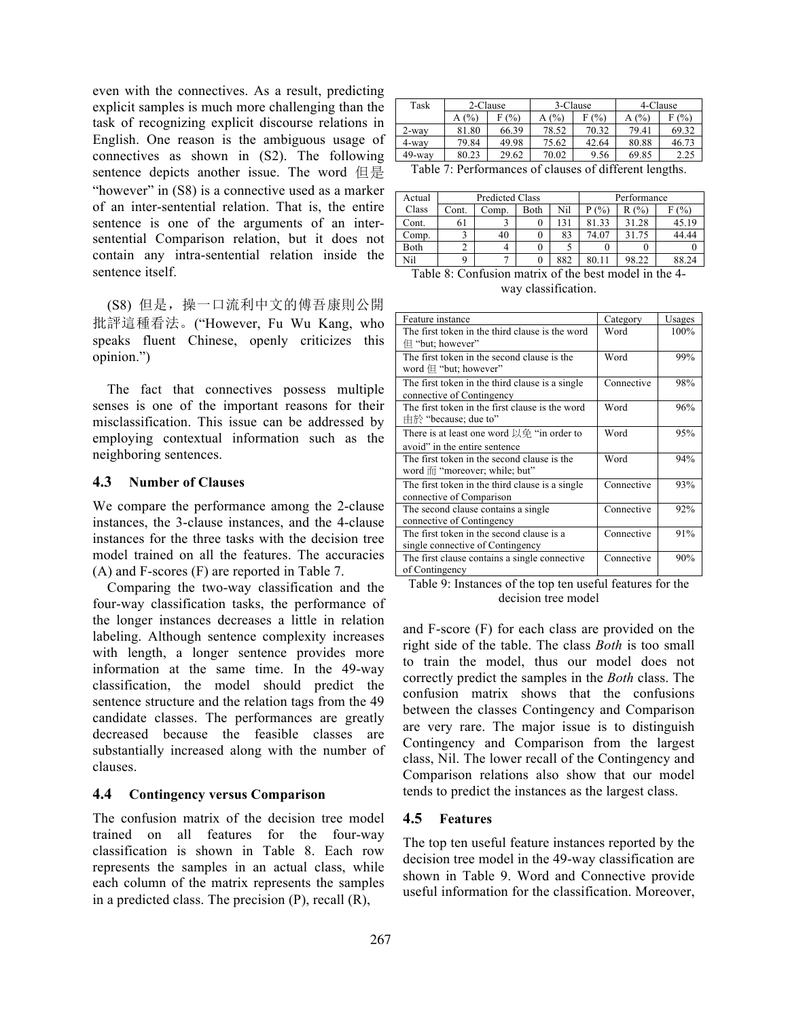even with the connectives. As a result, predicting explicit samples is much more challenging than the task of recognizing explicit discourse relations in English. One reason is the ambiguous usage of connectives as shown in (S2). The following sentence depicts another issue. The word 但是 "however" in (S8) is a connective used as a marker of an inter-sentential relation. That is, the entire sentence is one of the arguments of an intersentential Comparison relation, but it does not contain any intra-sentential relation inside the sentence itself.

(S8) 但是,操一口流利中文的傅吾康則公開 批評這種看法。("However, Fu Wu Kang, who speaks fluent Chinese, openly criticizes this opinion.")

The fact that connectives possess multiple senses is one of the important reasons for their misclassification. This issue can be addressed by employing contextual information such as the neighboring sentences.

## **4.3 Number of Clauses**

We compare the performance among the 2-clause instances, the 3-clause instances, and the 4-clause instances for the three tasks with the decision tree model trained on all the features. The accuracies (A) and F-scores (F) are reported in Table 7.

Comparing the two-way classification and the four-way classification tasks, the performance of the longer instances decreases a little in relation labeling. Although sentence complexity increases with length, a longer sentence provides more information at the same time. In the 49-way classification, the model should predict the sentence structure and the relation tags from the 49 candidate classes. The performances are greatly decreased because the feasible classes are substantially increased along with the number of clauses.

# **4.4 Contingency versus Comparison**

The confusion matrix of the decision tree model trained on all features for the four-way classification is shown in Table 8. Each row represents the samples in an actual class, while each column of the matrix represents the samples in a predicted class. The precision (P), recall (R),

| Task   | 2-Clause    |       | 3-Clause       |          | 4-Clause |       |
|--------|-------------|-------|----------------|----------|----------|-------|
|        | (%)         | (%)   | A(%)           | (%)<br>Е | (0/0)    | (%)   |
| 2-way  | 81.80       | 66.39 | 78.52          | 70.32    | 79.41    | 69.32 |
| 4-way  | 79.84       | 49.98 | 75.62          | 42.64    | 80.88    | 46.73 |
| 49-way | 80.23       | 29.62 | 70.02          | 9.56     | 69.85    | 2.25  |
| $-1$   | -<br>$\sim$ |       | - 11<br>$\sim$ | 0.120    | . .      |       |

Table 7: Performances of clauses of different lengths.

| Actual | Predicted Class |       |      |     | Performance |       |               |
|--------|-----------------|-------|------|-----|-------------|-------|---------------|
| Class  | Cont.           | Comp. | Both | Nil | (%          | R(%)  | $\frac{1}{2}$ |
| Cont.  | 61              |       |      | 131 | 81.33       | 31.28 | 45.19         |
| Comp.  |                 | 40    |      | 83  | 74.07       | 31.75 | 44.44         |
| Both   |                 |       |      |     |             |       |               |
| Nil    |                 |       |      | 882 | 80.11       | 98.22 | 88.24         |

| Table 8: Confusion matrix of the best model in the 4- |
|-------------------------------------------------------|
| way classification.                                   |

| Feature instance                                                                          | Category   | Usages |
|-------------------------------------------------------------------------------------------|------------|--------|
| The first token in the third clause is the word<br>但 "but; however"                       | Word       | 100%   |
| The first token in the second clause is the<br>word $\oplus$ "but; however"               | Word       | 99%    |
| The first token in the third clause is a single.<br>connective of Contingency             | Connective | 98%    |
| The first token in the first clause is the word<br>由於 "because; due to"                   | Word       | 96%    |
| There is at least one word $\&\oplus$ "in order to<br>avoid" in the entire sentence       | Word       | 95%    |
| The first token in the second clause is the<br>word $\overline{m}$ "moreover; while; but" | Word       | 94%    |
| The first token in the third clause is a single<br>connective of Comparison               | Connective | 93%    |
| The second clause contains a single<br>connective of Contingency                          | Connective | 92%    |
| The first token in the second clause is a<br>single connective of Contingency             | Connective | 91%    |
| The first clause contains a single connective.<br>of Contingency                          | Connective | 90%    |

Table 9: Instances of the top ten useful features for the decision tree model

and F-score (F) for each class are provided on the right side of the table. The class *Both* is too small to train the model, thus our model does not correctly predict the samples in the *Both* class. The confusion matrix shows that the confusions between the classes Contingency and Comparison are very rare. The major issue is to distinguish Contingency and Comparison from the largest class, Nil. The lower recall of the Contingency and Comparison relations also show that our model tends to predict the instances as the largest class.

# **4.5 Features**

The top ten useful feature instances reported by the decision tree model in the 49-way classification are shown in Table 9. Word and Connective provide useful information for the classification. Moreover,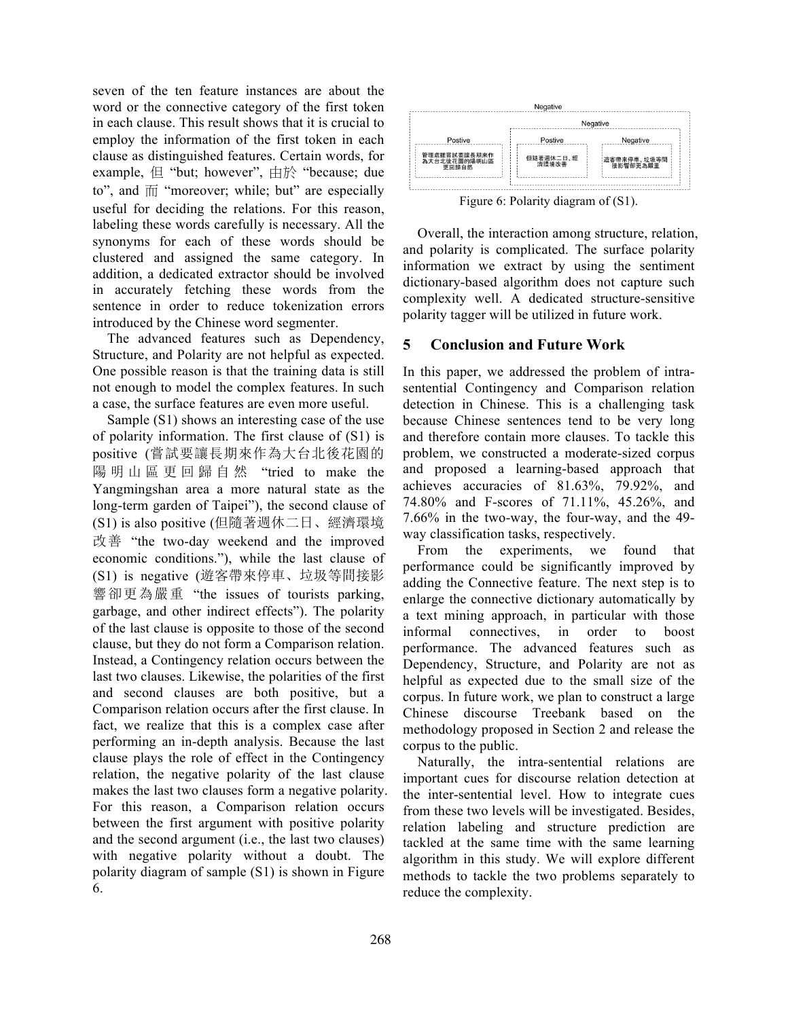seven of the ten feature instances are about the word or the connective category of the first token in each clause. This result shows that it is crucial to employ the information of the first token in each clause as distinguished features. Certain words, for example, 但 "but; however", 由於 "because; due to", and  $\overline{m}$  "moreover; while; but" are especially useful for deciding the relations. For this reason, labeling these words carefully is necessary. All the synonyms for each of these words should be clustered and assigned the same category. In addition, a dedicated extractor should be involved in accurately fetching these words from the sentence in order to reduce tokenization errors introduced by the Chinese word segmenter.

The advanced features such as Dependency, Structure, and Polarity are not helpful as expected. One possible reason is that the training data is still not enough to model the complex features. In such a case, the surface features are even more useful.

Sample (S1) shows an interesting case of the use of polarity information. The first clause of (S1) is positive (嘗試要讓長期來作為大台北後花園的 陽明山區更回歸 自 然 "tried to make the Yangmingshan area a more natural state as the long-term garden of Taipei"), the second clause of (S1) is also positive (但隨著週休二日、經濟環境 改善 "the two-day weekend and the improved economic conditions."), while the last clause of (S1) is negative (遊客帶來停車、垃圾等間接影 響卻更為嚴重 "the issues of tourists parking, garbage, and other indirect effects"). The polarity of the last clause is opposite to those of the second clause, but they do not form a Comparison relation. Instead, a Contingency relation occurs between the last two clauses. Likewise, the polarities of the first and second clauses are both positive, but a Comparison relation occurs after the first clause. In fact, we realize that this is a complex case after performing an in-depth analysis. Because the last clause plays the role of effect in the Contingency relation, the negative polarity of the last clause makes the last two clauses form a negative polarity. For this reason, a Comparison relation occurs between the first argument with positive polarity and the second argument (i.e., the last two clauses) with negative polarity without a doubt. The polarity diagram of sample (S1) is shown in Figure 6.



Figure 6: Polarity diagram of (S1).

Overall, the interaction among structure, relation, and polarity is complicated. The surface polarity information we extract by using the sentiment dictionary-based algorithm does not capture such complexity well. A dedicated structure-sensitive polarity tagger will be utilized in future work.

# **5 Conclusion and Future Work**

In this paper, we addressed the problem of intrasentential Contingency and Comparison relation detection in Chinese. This is a challenging task because Chinese sentences tend to be very long and therefore contain more clauses. To tackle this problem, we constructed a moderate-sized corpus and proposed a learning-based approach that achieves accuracies of 81.63%, 79.92%, and 74.80% and F-scores of 71.11%, 45.26%, and 7.66% in the two-way, the four-way, and the 49 way classification tasks, respectively.

From the experiments, we found that performance could be significantly improved by adding the Connective feature. The next step is to enlarge the connective dictionary automatically by a text mining approach, in particular with those informal connectives, in order to boost performance. The advanced features such as Dependency, Structure, and Polarity are not as helpful as expected due to the small size of the corpus. In future work, we plan to construct a large Chinese discourse Treebank based on the methodology proposed in Section 2 and release the corpus to the public.

Naturally, the intra-sentential relations are important cues for discourse relation detection at the inter-sentential level. How to integrate cues from these two levels will be investigated. Besides, relation labeling and structure prediction are tackled at the same time with the same learning algorithm in this study. We will explore different methods to tackle the two problems separately to reduce the complexity.